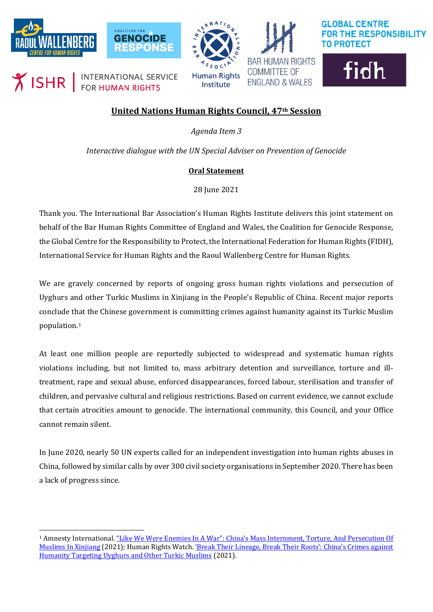







INTERNATIONAL SERVICE  $\chi$  ISHR

Institute

**COMMITTEE OF ENGLAND & WALES** 



## **United Nations Human Rights Council, 47th Session**

*Agenda Item 3*

*Interactive dialogue with the UN Special Adviser on Prevention of Genocide*

## **Oral Statement**

28 June 2021

Thank you. The International Bar Association's Human Rights Institute delivers this joint statement on behalf of the Bar Human Rights Committee of England and Wales, the Coalition for Genocide Response, the Global Centre for the Responsibility to Protect, the International Federation for Human Rights (FIDH), International Service for Human Rights and the Raoul Wallenberg Centre for Human Rights.

We are gravely concerned by reports of ongoing gross human rights violations and persecution of Uyghurs and other Turkic Muslims in Xinjiang in the People's Republic of China. Recent major reports conclude that the Chinese government is committing crimes against humanity against its Turkic Muslim population.[1](#page-0-0)

At least one million people are reportedly subjected to widespread and systematic human rights violations including, but not limited to, mass arbitrary detention and surveillance, torture and illtreatment, rape and sexual abuse, enforced disappearances, forced labour, sterilisation and transfer of children, and pervasive cultural and religious restrictions. Based on current evidence, we cannot exclude that certain atrocities amount to genocide. The international community, this Council, and your Office cannot remain silent.

In June 2020, nearly 50 UN experts called for an independent investigation into human rights abuses in China, followed by similar calls by over 300 civil society organisations in September 2020. There has been a lack of progress since.

<span id="page-0-0"></span><sup>1</sup> Amnesty International[. "Like We Were Enemies In A War": China's Mass Internment, Torture, And Persecution Of](https://www.amnesty.org/en/documents/asa17/4137/2021/en/)  [Muslims In Xinjiang](https://www.amnesty.org/en/documents/asa17/4137/2021/en/) (2021); Human Rights Watch[. 'Break Their Lineage, Break Their Roots': China's Crimes against](https://www.hrw.org/report/2021/04/19/break-their-lineage-break-their-roots/chinas-crimes-against-humanity-targeting)  [Humanity Targeting Uyghurs and Other Turkic Muslims](https://www.hrw.org/report/2021/04/19/break-their-lineage-break-their-roots/chinas-crimes-against-humanity-targeting) (2021).